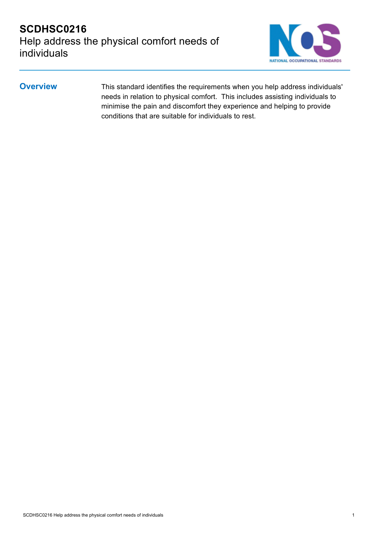

**Overview** This standard identifies the requirements when you help address individuals' needs in relation to physical comfort. This includes assisting individuals to minimise the pain and discomfort they experience and helping to provide conditions that are suitable for individuals to rest.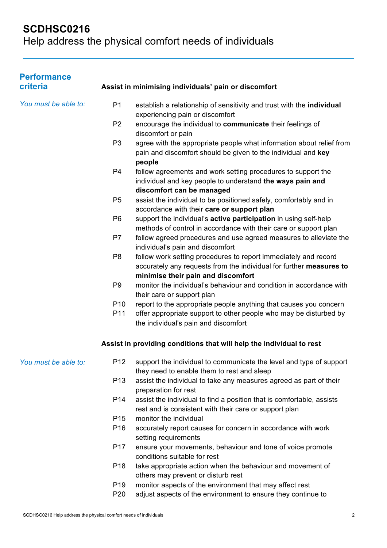# **SCDHSC0216**

Help address the physical comfort needs of individuals

| <b>Performance</b><br>criteria |                 | Assist in minimising individuals' pain or discomfort                                                                                                   |
|--------------------------------|-----------------|--------------------------------------------------------------------------------------------------------------------------------------------------------|
| You must be able to:           | P <sub>1</sub>  | establish a relationship of sensitivity and trust with the individual                                                                                  |
|                                |                 | experiencing pain or discomfort                                                                                                                        |
|                                | P <sub>2</sub>  | encourage the individual to communicate their feelings of<br>discomfort or pain                                                                        |
|                                | P <sub>3</sub>  | agree with the appropriate people what information about relief from<br>pain and discomfort should be given to the individual and key<br>people        |
|                                | P <sub>4</sub>  | follow agreements and work setting procedures to support the<br>individual and key people to understand the ways pain and<br>discomfort can be managed |
|                                | P <sub>5</sub>  | assist the individual to be positioned safely, comfortably and in<br>accordance with their care or support plan                                        |
|                                | P <sub>6</sub>  | support the individual's active participation in using self-help<br>methods of control in accordance with their care or support plan                   |
|                                | P7              | follow agreed procedures and use agreed measures to alleviate the<br>individual's pain and discomfort                                                  |
|                                | P <sub>8</sub>  | follow work setting procedures to report immediately and record<br>accurately any requests from the individual for further measures to                 |
|                                | P <sub>9</sub>  | minimise their pain and discomfort<br>monitor the individual's behaviour and condition in accordance with<br>their care or support plan                |
|                                | P <sub>10</sub> | report to the appropriate people anything that causes you concern                                                                                      |
|                                | P11             | offer appropriate support to other people who may be disturbed by<br>the individual's pain and discomfort                                              |
|                                |                 | Assist in providing conditions that will help the individual to rest                                                                                   |
| You must be able to:           |                 | P12 support the individual to communicate the level and type of support<br>they need to enable them to rest and sleep                                  |
|                                | P <sub>13</sub> | assist the individual to take any measures agreed as part of their<br>preparation for rest                                                             |
|                                | P14             | assist the individual to find a position that is comfortable, assists<br>rest and is consistent with their care or support plan                        |
|                                | P <sub>15</sub> | monitor the individual                                                                                                                                 |
|                                | P16             | accurately report causes for concern in accordance with work<br>setting requirements                                                                   |
|                                | P <sub>17</sub> | ensure your movements, behaviour and tone of voice promote<br>conditions suitable for rest                                                             |
|                                | P <sub>18</sub> | take appropriate action when the behaviour and movement of<br>others may prevent or disturb rest                                                       |
|                                | P <sub>19</sub> | monitor aspects of the environment that may affect rest                                                                                                |
|                                | P20             | adjust aspects of the environment to ensure they continue to                                                                                           |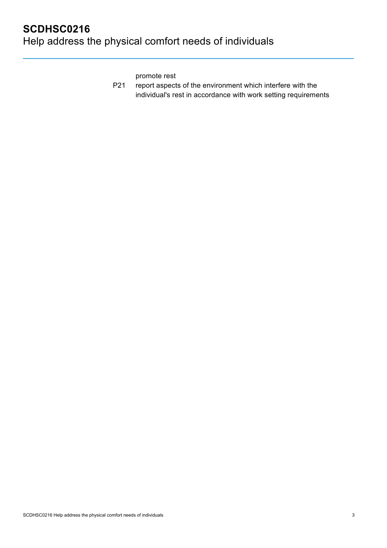promote rest

P21 report aspects of the environment which interfere with the individual's rest in accordance with work setting requirements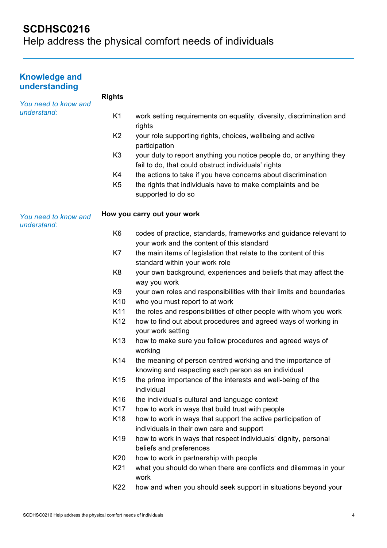## **SCDHSC0216**

Help address the physical comfort needs of individuals

### **Knowledge and understanding**

*You need to know and* 

**Rights**

|  | understand: |  |
|--|-------------|--|
|  |             |  |

- K1 work setting requirements on equality, diversity, discrimination and rights
- K2 your role supporting rights, choices, wellbeing and active participation
- K3 vour duty to report anything you notice people do, or anything they fail to do, that could obstruct individuals' rights
- K4 the actions to take if you have concerns about discrimination
- K5 the rights that individuals have to make complaints and be supported to do so

#### *You need to know and*  **How you carry out your work**

- *understand:*
- K6 codes of practice, standards, frameworks and guidance relevant to your work and the content of this standard
- K7 the main items of legislation that relate to the content of this standard within your work role
- K8 your own background, experiences and beliefs that may affect the way you work
- K9 your own roles and responsibilities with their limits and boundaries
- K10 who you must report to at work
- K11 the roles and responsibilities of other people with whom you work
- K12 how to find out about procedures and agreed ways of working in your work setting
- K13 how to make sure you follow procedures and agreed ways of working
- K14 the meaning of person centred working and the importance of knowing and respecting each person as an individual
- K15 the prime importance of the interests and well-being of the individual
- K16 the individual's cultural and language context
- K17 how to work in ways that build trust with people
- K18 how to work in ways that support the active participation of individuals in their own care and support
- K19 how to work in ways that respect individuals' dignity, personal beliefs and preferences
- K20 how to work in partnership with people
- K21 what you should do when there are conflicts and dilemmas in your work
- K22 how and when you should seek support in situations beyond your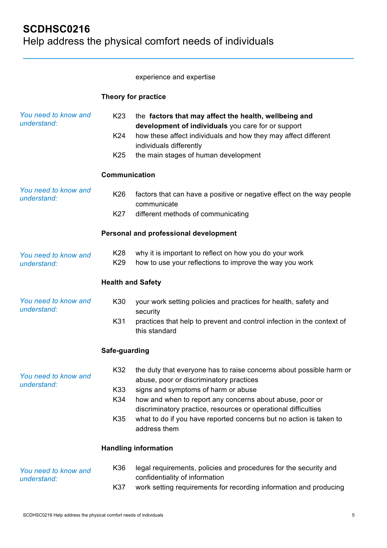experience and expertise

### **Theory for practice**

| You need to know and<br>understand: | K <sub>23</sub><br>K24<br>K <sub>25</sub> | the factors that may affect the health, wellbeing and<br>development of individuals you care for or support<br>how these affect individuals and how they may affect different<br>individuals differently<br>the main stages of human development |
|-------------------------------------|-------------------------------------------|--------------------------------------------------------------------------------------------------------------------------------------------------------------------------------------------------------------------------------------------------|
|                                     | Communication                             |                                                                                                                                                                                                                                                  |
| You need to know and<br>understand: | K26                                       | factors that can have a positive or negative effect on the way people<br>communicate                                                                                                                                                             |
|                                     | K27                                       | different methods of communicating                                                                                                                                                                                                               |
|                                     |                                           | Personal and professional development                                                                                                                                                                                                            |
| You need to know and<br>understand: | K28<br>K29                                | why it is important to reflect on how you do your work<br>how to use your reflections to improve the way you work                                                                                                                                |
|                                     | <b>Health and Safety</b>                  |                                                                                                                                                                                                                                                  |
| You need to know and<br>understand: | K30                                       | your work setting policies and practices for health, safety and<br>security                                                                                                                                                                      |
|                                     | K31                                       | practices that help to prevent and control infection in the context of<br>this standard                                                                                                                                                          |
|                                     | Safe-guarding                             |                                                                                                                                                                                                                                                  |
| You need to know and<br>understand: | K32                                       | the duty that everyone has to raise concerns about possible harm or<br>abuse, poor or discriminatory practices                                                                                                                                   |
|                                     | K33<br>K34                                | signs and symptoms of harm or abuse<br>how and when to report any concerns about abuse, poor or<br>discriminatory practice, resources or operational difficulties                                                                                |
|                                     | K35                                       | what to do if you have reported concerns but no action is taken to<br>address them                                                                                                                                                               |
|                                     |                                           | <b>Handling information</b>                                                                                                                                                                                                                      |
| You need to know and<br>understand: | K36                                       | legal requirements, policies and procedures for the security and<br>confidentiality of information                                                                                                                                               |
|                                     | K37                                       | work setting requirements for recording information and producing                                                                                                                                                                                |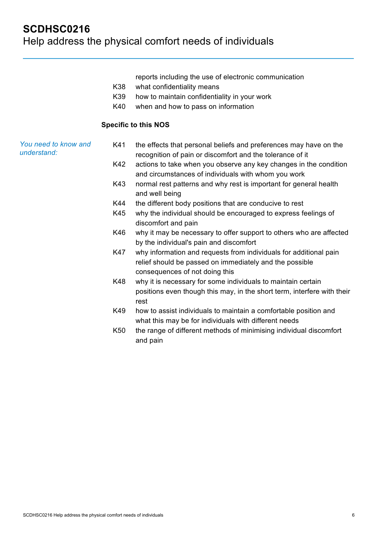reports including the use of electronic communication

- K38 what confidentiality means
- K39 how to maintain confidentiality in your work
- K40 when and how to pass on information

#### **Specific to this NOS**

*You need to know and understand:* K41 the effects that personal beliefs and preferences may have on the recognition of pain or discomfort and the tolerance of it

- K42 actions to take when you observe any key changes in the condition and circumstances of individuals with whom you work
- K43 normal rest patterns and why rest is important for general health and well being
- K44 the different body positions that are conducive to rest
- K45 why the individual should be encouraged to express feelings of discomfort and pain
- K46 why it may be necessary to offer support to others who are affected by the individual's pain and discomfort
- K47 why information and requests from individuals for additional pain relief should be passed on immediately and the possible consequences of not doing this
- K48 why it is necessary for some individuals to maintain certain positions even though this may, in the short term, interfere with their rest
- K49 how to assist individuals to maintain a comfortable position and what this may be for individuals with different needs
- K50 the range of different methods of minimising individual discomfort and pain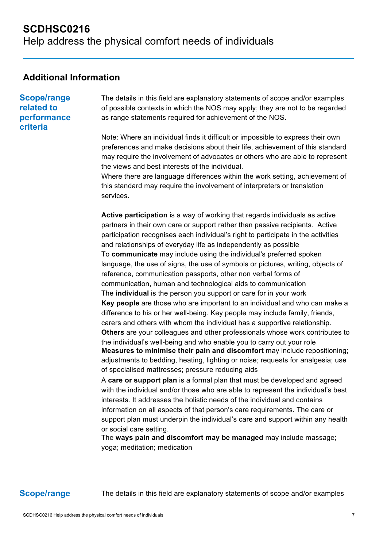## **Additional Information**

**Scope/range related to performance criteria**

The details in this field are explanatory statements of scope and/or examples of possible contexts in which the NOS may apply; they are not to be regarded as range statements required for achievement of the NOS.

Note: Where an individual finds it difficult or impossible to express their own preferences and make decisions about their life, achievement of this standard may require the involvement of advocates or others who are able to represent the views and best interests of the individual.

Where there are language differences within the work setting, achievement of this standard may require the involvement of interpreters or translation services.

**Active participation** is a way of working that regards individuals as active partners in their own care or support rather than passive recipients. Active participation recognises each individual's right to participate in the activities and relationships of everyday life as independently as possible To **communicate** may include using the individual's preferred spoken language, the use of signs, the use of symbols or pictures, writing, objects of reference, communication passports, other non verbal forms of communication, human and technological aids to communication The **individual** is the person you support or care for in your work **Key people** are those who are important to an individual and who can make a difference to his or her well-being. Key people may include family, friends, carers and others with whom the individual has a supportive relationship. **Others** are your colleagues and other professionals whose work contributes to the individual's well-being and who enable you to carry out your role **Measures to minimise their pain and discomfort** may include repositioning; adjustments to bedding, heating, lighting or noise; requests for analgesia; use of specialised mattresses; pressure reducing aids

A **care or support plan** is a formal plan that must be developed and agreed with the individual and/or those who are able to represent the individual's best interests. It addresses the holistic needs of the individual and contains information on all aspects of that person's care requirements. The care or support plan must underpin the individual's care and support within any health or social care setting.

The **ways pain and discomfort may be managed** may include massage; yoga; meditation; medication

**Scope/range** The details in this field are explanatory statements of scope and/or examples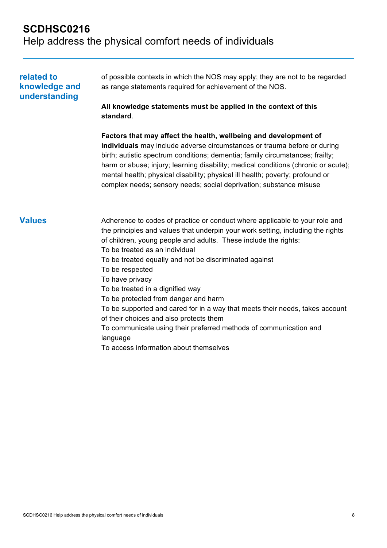## **SCDHSC0216**  Help address the physical comfort needs of individuals

| related to<br>knowledge and<br>understanding | of possible contexts in which the NOS may apply; they are not to be regarded<br>as range statements required for achievement of the NOS.<br>All knowledge statements must be applied in the context of this<br>standard.                                                                                                                                                                                                                                                                                                                                                                                                                                                                              |  |  |  |
|----------------------------------------------|-------------------------------------------------------------------------------------------------------------------------------------------------------------------------------------------------------------------------------------------------------------------------------------------------------------------------------------------------------------------------------------------------------------------------------------------------------------------------------------------------------------------------------------------------------------------------------------------------------------------------------------------------------------------------------------------------------|--|--|--|
|                                              | Factors that may affect the health, wellbeing and development of<br>individuals may include adverse circumstances or trauma before or during<br>birth; autistic spectrum conditions; dementia; family circumstances; frailty;<br>harm or abuse; injury; learning disability; medical conditions (chronic or acute);<br>mental health; physical disability; physical ill health; poverty; profound or<br>complex needs; sensory needs; social deprivation; substance misuse                                                                                                                                                                                                                            |  |  |  |
| <b>Values</b>                                | Adherence to codes of practice or conduct where applicable to your role and<br>the principles and values that underpin your work setting, including the rights<br>of children, young people and adults. These include the rights:<br>To be treated as an individual<br>To be treated equally and not be discriminated against<br>To be respected<br>To have privacy<br>To be treated in a dignified way<br>To be protected from danger and harm<br>To be supported and cared for in a way that meets their needs, takes account<br>of their choices and also protects them<br>To communicate using their preferred methods of communication and<br>language<br>To access information about themselves |  |  |  |